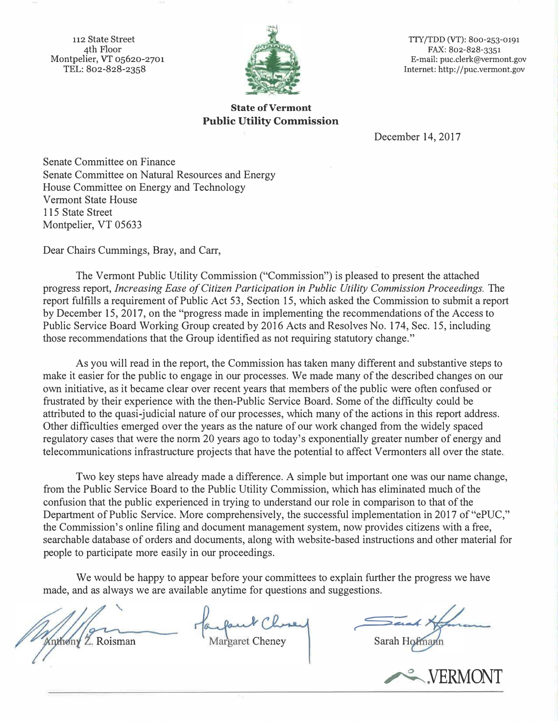112 State Street 4th Floor Montpelier, VT 05620-2701 TEL: 802-828-2358



TIY/TDD (VT): 800-253-0191 FAX: 802-828-3351 E-mail: puc.clerk@vermont.gov Internet: http:/ /puc.vermont.gov

## **State of Vermont Public Utility Commission**

December 14, 2017

Senate Committee on Finance Senate Committee on Natural Resources and Energy House Committee on Energy and Technology Vermont State House 115 State Street Montpelier, VT 05633

Dear Chairs Cummings, Bray, and Carr,

The Vermont Public Utility Commission ("Commission") is pleased to present the attached progress report, *Increasing Ease of Citizen Participation in Public Utility Commission Proceedings.* The report fulfills a requirement of Public Act 53, Section 15, which asked the Commission to submit a report by December 15, 2017, on the "progress made in implementing the recommendations of the Access to Public Service Board Working Group created by 2016 Acts and Resolves No. 174, Sec. 15, including those recommendations that the Group identified as not requiring statutory change."

As you will read in the report, the Commission has taken many different and substantive steps to make it easier for the public to engage in our processes. We made many of the described changes on our own initiative, as it became clear over recent years that members of the public were often confused or frustrated by their experience with the then-Public Service Board. Some of the difficulty could be attributed to the quasi-judicial nature of our processes, which many of the actions in this report address. Other difficulties emerged over the years as the nature of our work changed from the widely spaced regulatory cases that were the norm 20 years ago to today's exponentially greater number of energy and telecommunications infrastructure projects that have the potential to affect Vermonters all over the state.

Two key steps have already made a difference. A simple but important one was our name change, from the Public Service Board to the Public Utility Commission, which has eliminated much of the confusion that the public experienced in trying to understand our role in comparison to that of the Department of Public Service. More comprehensively, the successful implementation in 2017 of "ePUC," the Commission's online filing and document management system, now provides citizens with a free, searchable database of orders and documents, along with website-based instructions and other material for people to participate more easily in our proceedings.

We would be happy to appear before your committees to explain further the progress we have made, and as always we are available anytime for questions and suggestions.

**Xnthony Z. Roisman** 

*<sup>r</sup>---;\_..J(* 

Sarah Hofmann

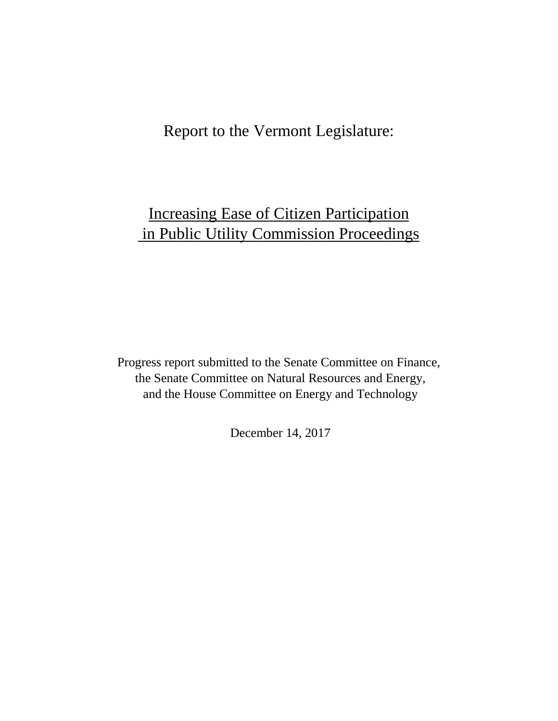# Report to the Vermont Legislature:

# Increasing Ease of Citizen Participation in Public Utility Commission Proceedings

Progress report submitted to the Senate Committee on Finance, the Senate Committee on Natural Resources and Energy, and the House Committee on Energy and Technology

December 14, 2017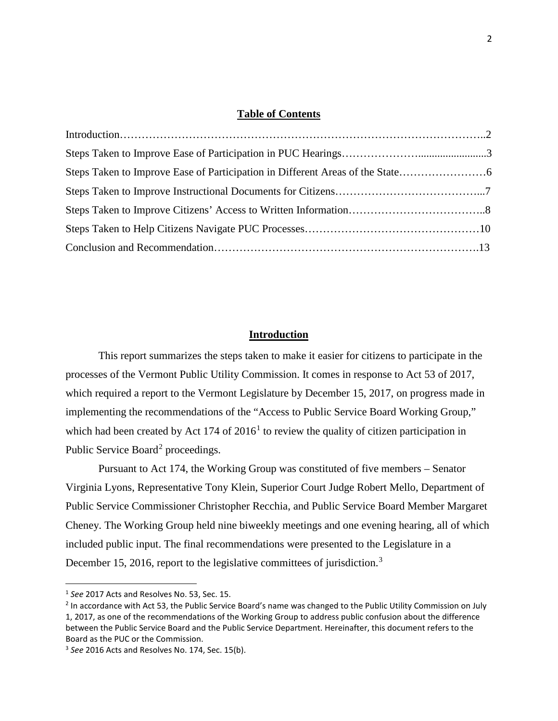#### **Table of Contents**

| Steps Taken to Improve Ease of Participation in Different Areas of the State |  |
|------------------------------------------------------------------------------|--|
|                                                                              |  |
|                                                                              |  |
|                                                                              |  |
|                                                                              |  |
|                                                                              |  |

#### **Introduction**

This report summarizes the steps taken to make it easier for citizens to participate in the processes of the Vermont Public Utility Commission. It comes in response to Act 53 of 2017, which required a report to the Vermont Legislature by December 15, 2017, on progress made in implementing the recommendations of the "Access to Public Service Board Working Group," which had been created by Act [1](#page-2-0)74 of  $2016<sup>1</sup>$  to review the quality of citizen participation in Public Service Board<sup>[2](#page-2-1)</sup> proceedings.

Pursuant to Act 174, the Working Group was constituted of five members – Senator Virginia Lyons, Representative Tony Klein, Superior Court Judge Robert Mello, Department of Public Service Commissioner Christopher Recchia, and Public Service Board Member Margaret Cheney. The Working Group held nine biweekly meetings and one evening hearing, all of which included public input. The final recommendations were presented to the Legislature in a December 15, 2016, report to the legislative committees of jurisdiction.<sup>[3](#page-2-2)</sup>

<span id="page-2-0"></span> <sup>1</sup> *See* 2017 Acts and Resolves No. 53, Sec. 15.

<span id="page-2-1"></span><sup>&</sup>lt;sup>2</sup> In accordance with Act 53, the Public Service Board's name was changed to the Public Utility Commission on July 1, 2017, as one of the recommendations of the Working Group to address public confusion about the difference between the Public Service Board and the Public Service Department. Hereinafter, this document refers to the Board as the PUC or the Commission.

<span id="page-2-2"></span><sup>3</sup> *See* 2016 Acts and Resolves No. 174, Sec. 15(b).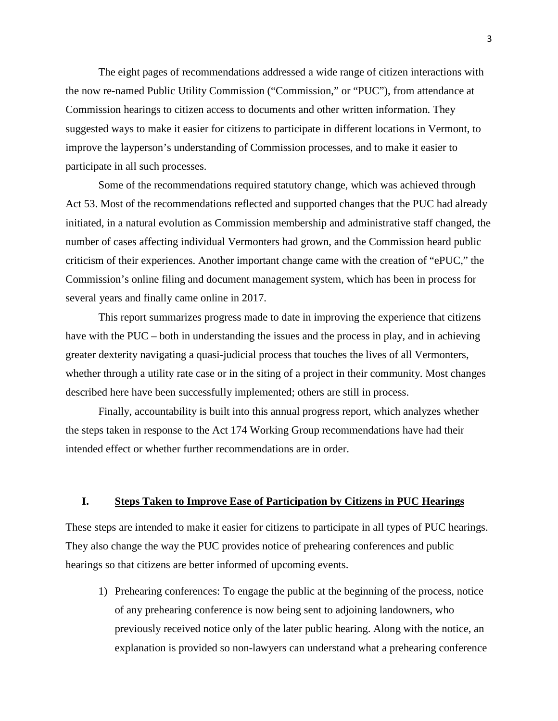The eight pages of recommendations addressed a wide range of citizen interactions with the now re-named Public Utility Commission ("Commission," or "PUC"), from attendance at Commission hearings to citizen access to documents and other written information. They suggested ways to make it easier for citizens to participate in different locations in Vermont, to improve the layperson's understanding of Commission processes, and to make it easier to participate in all such processes.

Some of the recommendations required statutory change, which was achieved through Act 53. Most of the recommendations reflected and supported changes that the PUC had already initiated, in a natural evolution as Commission membership and administrative staff changed, the number of cases affecting individual Vermonters had grown, and the Commission heard public criticism of their experiences. Another important change came with the creation of "ePUC," the Commission's online filing and document management system, which has been in process for several years and finally came online in 2017.

This report summarizes progress made to date in improving the experience that citizens have with the PUC – both in understanding the issues and the process in play, and in achieving greater dexterity navigating a quasi-judicial process that touches the lives of all Vermonters, whether through a utility rate case or in the siting of a project in their community. Most changes described here have been successfully implemented; others are still in process.

Finally, accountability is built into this annual progress report, which analyzes whether the steps taken in response to the Act 174 Working Group recommendations have had their intended effect or whether further recommendations are in order.

#### **I. Steps Taken to Improve Ease of Participation by Citizens in PUC Hearings**

These steps are intended to make it easier for citizens to participate in all types of PUC hearings. They also change the way the PUC provides notice of prehearing conferences and public hearings so that citizens are better informed of upcoming events.

1) Prehearing conferences: To engage the public at the beginning of the process, notice of any prehearing conference is now being sent to adjoining landowners, who previously received notice only of the later public hearing. Along with the notice, an explanation is provided so non-lawyers can understand what a prehearing conference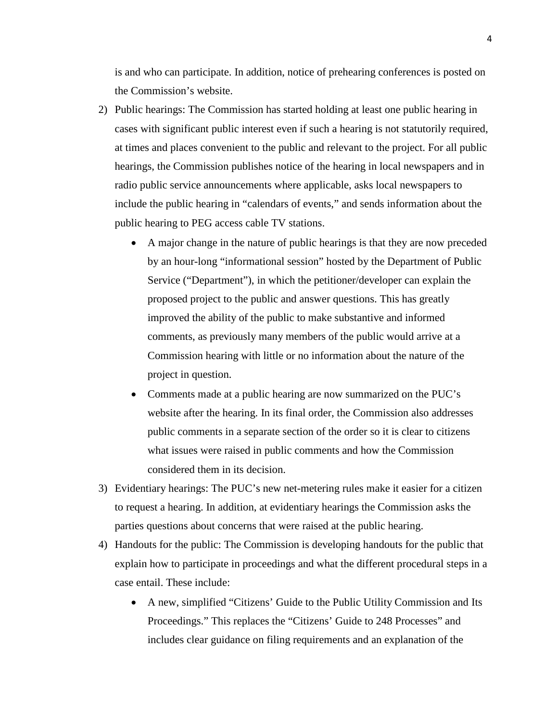is and who can participate. In addition, notice of prehearing conferences is posted on the Commission's website.

- 2) Public hearings: The Commission has started holding at least one public hearing in cases with significant public interest even if such a hearing is not statutorily required, at times and places convenient to the public and relevant to the project. For all public hearings, the Commission publishes notice of the hearing in local newspapers and in radio public service announcements where applicable, asks local newspapers to include the public hearing in "calendars of events," and sends information about the public hearing to PEG access cable TV stations.
	- A major change in the nature of public hearings is that they are now preceded by an hour-long "informational session" hosted by the Department of Public Service ("Department"), in which the petitioner/developer can explain the proposed project to the public and answer questions. This has greatly improved the ability of the public to make substantive and informed comments, as previously many members of the public would arrive at a Commission hearing with little or no information about the nature of the project in question.
	- Comments made at a public hearing are now summarized on the PUC's website after the hearing. In its final order, the Commission also addresses public comments in a separate section of the order so it is clear to citizens what issues were raised in public comments and how the Commission considered them in its decision.
- 3) Evidentiary hearings: The PUC's new net-metering rules make it easier for a citizen to request a hearing. In addition, at evidentiary hearings the Commission asks the parties questions about concerns that were raised at the public hearing.
- 4) Handouts for the public: The Commission is developing handouts for the public that explain how to participate in proceedings and what the different procedural steps in a case entail. These include:
	- A new, simplified "Citizens' Guide to the Public Utility Commission and Its Proceedings." This replaces the "Citizens' Guide to 248 Processes" and includes clear guidance on filing requirements and an explanation of the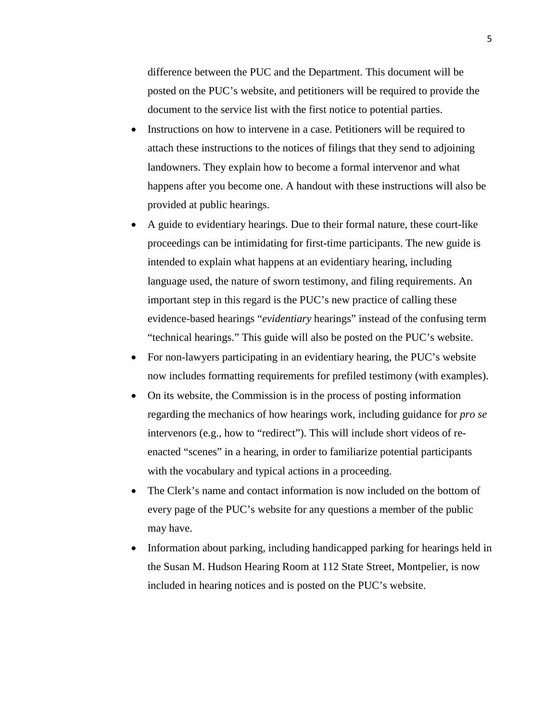difference between the PUC and the Department. This document will be posted on the PUC's website, and petitioners will be required to provide the document to the service list with the first notice to potential parties.

- Instructions on how to intervene in a case. Petitioners will be required to attach these instructions to the notices of filings that they send to adjoining landowners. They explain how to become a formal intervenor and what happens after you become one. A handout with these instructions will also be provided at public hearings.
- A guide to evidentiary hearings. Due to their formal nature, these court-like proceedings can be intimidating for first-time participants. The new guide is intended to explain what happens at an evidentiary hearing, including language used, the nature of sworn testimony, and filing requirements. An important step in this regard is the PUC's new practice of calling these evidence-based hearings "*evidentiary* hearings" instead of the confusing term "technical hearings." This guide will also be posted on the PUC's website.
- For non-lawyers participating in an evidentiary hearing, the PUC's website now includes formatting requirements for prefiled testimony (with examples).
- On its website, the Commission is in the process of posting information regarding the mechanics of how hearings work, including guidance for *pro se* intervenors (e.g., how to "redirect"). This will include short videos of reenacted "scenes" in a hearing, in order to familiarize potential participants with the vocabulary and typical actions in a proceeding.
- The Clerk's name and contact information is now included on the bottom of every page of the PUC's website for any questions a member of the public may have.
- Information about parking, including handicapped parking for hearings held in the Susan M. Hudson Hearing Room at 112 State Street, Montpelier, is now included in hearing notices and is posted on the PUC's website.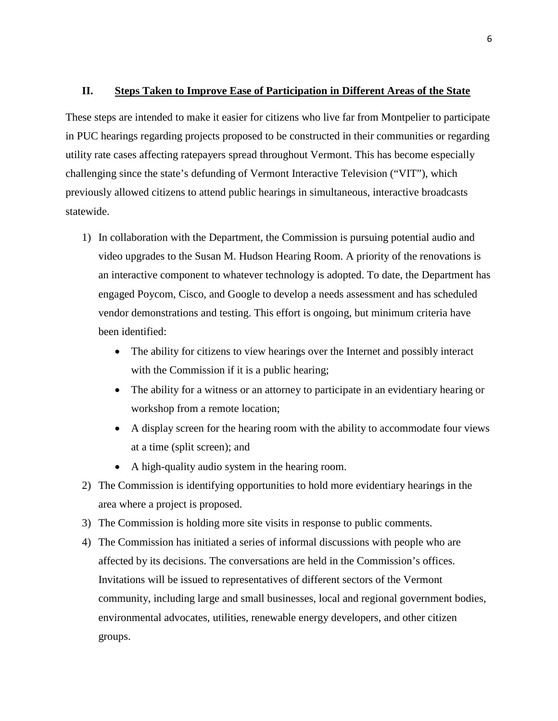#### **II. Steps Taken to Improve Ease of Participation in Different Areas of the State**

These steps are intended to make it easier for citizens who live far from Montpelier to participate in PUC hearings regarding projects proposed to be constructed in their communities or regarding utility rate cases affecting ratepayers spread throughout Vermont. This has become especially challenging since the state's defunding of Vermont Interactive Television ("VIT"), which previously allowed citizens to attend public hearings in simultaneous, interactive broadcasts statewide.

- 1) In collaboration with the Department, the Commission is pursuing potential audio and video upgrades to the Susan M. Hudson Hearing Room. A priority of the renovations is an interactive component to whatever technology is adopted. To date, the Department has engaged Poycom, Cisco, and Google to develop a needs assessment and has scheduled vendor demonstrations and testing. This effort is ongoing, but minimum criteria have been identified:
	- The ability for citizens to view hearings over the Internet and possibly interact with the Commission if it is a public hearing;
	- The ability for a witness or an attorney to participate in an evidentiary hearing or workshop from a remote location;
	- A display screen for the hearing room with the ability to accommodate four views at a time (split screen); and
	- A high-quality audio system in the hearing room.
- 2) The Commission is identifying opportunities to hold more evidentiary hearings in the area where a project is proposed.
- 3) The Commission is holding more site visits in response to public comments.
- 4) The Commission has initiated a series of informal discussions with people who are affected by its decisions. The conversations are held in the Commission's offices. Invitations will be issued to representatives of different sectors of the Vermont community, including large and small businesses, local and regional government bodies, environmental advocates, utilities, renewable energy developers, and other citizen groups.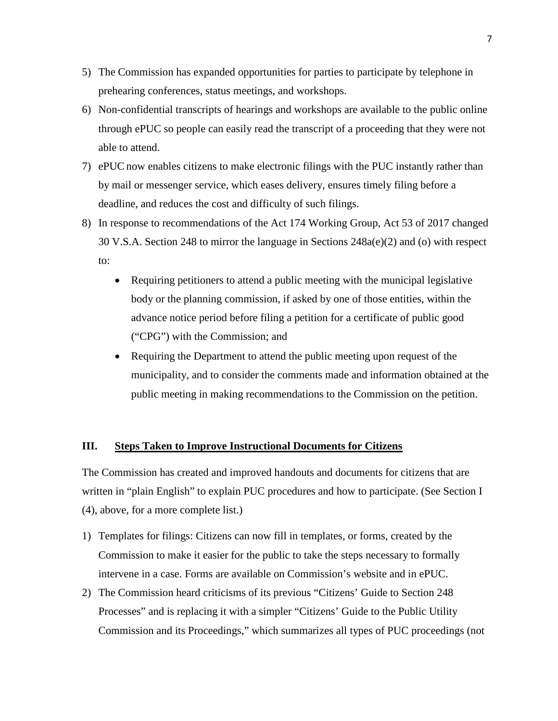- 5) The Commission has expanded opportunities for parties to participate by telephone in prehearing conferences, status meetings, and workshops.
- 6) Non-confidential transcripts of hearings and workshops are available to the public online through ePUC so people can easily read the transcript of a proceeding that they were not able to attend.
- 7) ePUC now enables citizens to make electronic filings with the PUC instantly rather than by mail or messenger service, which eases delivery, ensures timely filing before a deadline, and reduces the cost and difficulty of such filings.
- 8) In response to recommendations of the Act 174 Working Group, Act 53 of 2017 changed 30 V.S.A. Section 248 to mirror the language in Sections 248a(e)(2) and (o) with respect to:
	- Requiring petitioners to attend a public meeting with the municipal legislative body or the planning commission, if asked by one of those entities, within the advance notice period before filing a petition for a certificate of public good ("CPG") with the Commission; and
	- Requiring the Department to attend the public meeting upon request of the municipality, and to consider the comments made and information obtained at the public meeting in making recommendations to the Commission on the petition.

### **III. Steps Taken to Improve Instructional Documents for Citizens**

The Commission has created and improved handouts and documents for citizens that are written in "plain English" to explain PUC procedures and how to participate. (See Section I (4), above, for a more complete list.)

- 1) Templates for filings: Citizens can now fill in templates, or forms, created by the Commission to make it easier for the public to take the steps necessary to formally intervene in a case. Forms are available on Commission's website and in ePUC.
- 2) The Commission heard criticisms of its previous "Citizens' Guide to Section 248 Processes" and is replacing it with a simpler "Citizens' Guide to the Public Utility Commission and its Proceedings," which summarizes all types of PUC proceedings (not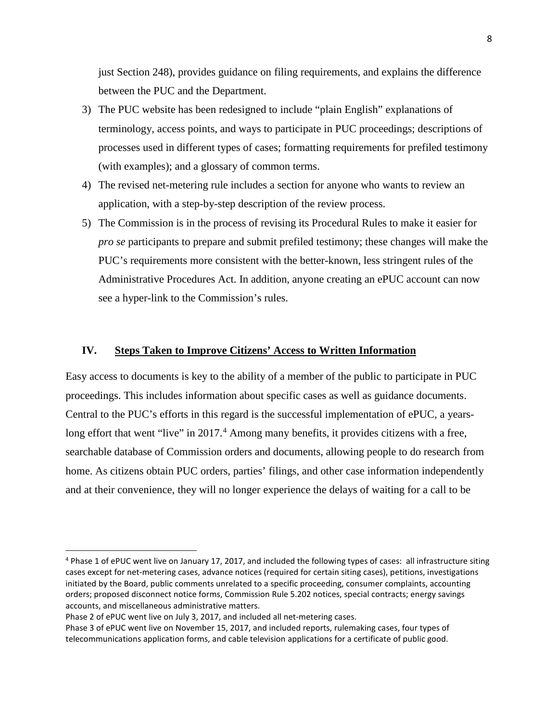just Section 248), provides guidance on filing requirements, and explains the difference between the PUC and the Department.

- 3) The PUC website has been redesigned to include "plain English" explanations of terminology, access points, and ways to participate in PUC proceedings; descriptions of processes used in different types of cases; formatting requirements for prefiled testimony (with examples); and a glossary of common terms.
- 4) The revised net-metering rule includes a section for anyone who wants to review an application, with a step-by-step description of the review process.
- 5) The Commission is in the process of revising its Procedural Rules to make it easier for *pro se* participants to prepare and submit prefiled testimony; these changes will make the PUC's requirements more consistent with the better-known, less stringent rules of the Administrative Procedures Act. In addition, anyone creating an ePUC account can now see a hyper-link to the Commission's rules.

#### **IV. Steps Taken to Improve Citizens' Access to Written Information**

Easy access to documents is key to the ability of a member of the public to participate in PUC proceedings. This includes information about specific cases as well as guidance documents. Central to the PUC's efforts in this regard is the successful implementation of ePUC, a years-long effort that went "live" in 2017.<sup>[4](#page-8-0)</sup> Among many benefits, it provides citizens with a free, searchable database of Commission orders and documents, allowing people to do research from home. As citizens obtain PUC orders, parties' filings, and other case information independently and at their convenience, they will no longer experience the delays of waiting for a call to be

<span id="page-8-0"></span> <sup>4</sup> Phase 1 of ePUC went live on January 17, 2017, and included the following types of cases: all infrastructure siting cases except for net-metering cases, advance notices (required for certain siting cases), petitions, investigations initiated by the Board, public comments unrelated to a specific proceeding, consumer complaints, accounting orders; proposed disconnect notice forms, Commission Rule 5.202 notices, special contracts; energy savings accounts, and miscellaneous administrative matters.

Phase 2 of ePUC went live on July 3, 2017, and included all net-metering cases.

Phase 3 of ePUC went live on November 15, 2017, and included reports, rulemaking cases, four types of telecommunications application forms, and cable television applications for a certificate of public good.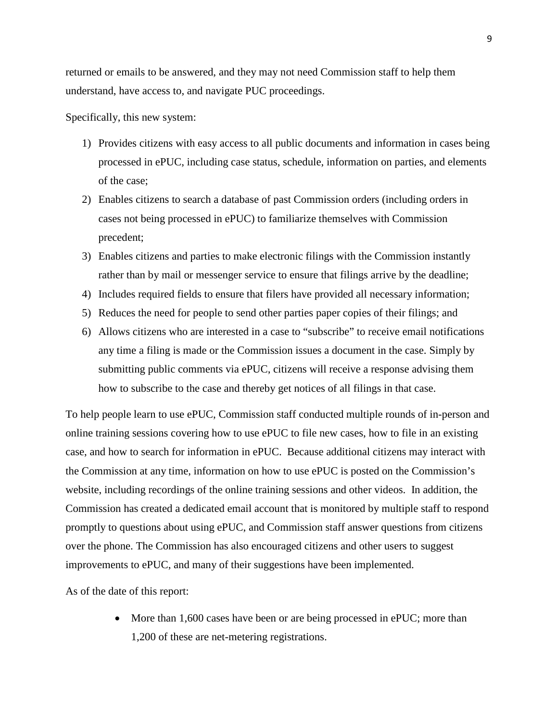returned or emails to be answered, and they may not need Commission staff to help them understand, have access to, and navigate PUC proceedings.

Specifically, this new system:

- 1) Provides citizens with easy access to all public documents and information in cases being processed in ePUC, including case status, schedule, information on parties, and elements of the case;
- 2) Enables citizens to search a database of past Commission orders (including orders in cases not being processed in ePUC) to familiarize themselves with Commission precedent;
- 3) Enables citizens and parties to make electronic filings with the Commission instantly rather than by mail or messenger service to ensure that filings arrive by the deadline;
- 4) Includes required fields to ensure that filers have provided all necessary information;
- 5) Reduces the need for people to send other parties paper copies of their filings; and
- 6) Allows citizens who are interested in a case to "subscribe" to receive email notifications any time a filing is made or the Commission issues a document in the case. Simply by submitting public comments via ePUC, citizens will receive a response advising them how to subscribe to the case and thereby get notices of all filings in that case.

To help people learn to use ePUC, Commission staff conducted multiple rounds of in-person and online training sessions covering how to use ePUC to file new cases, how to file in an existing case, and how to search for information in ePUC. Because additional citizens may interact with the Commission at any time, information on how to use ePUC is posted on the Commission's website, including recordings of the online training sessions and other videos. In addition, the Commission has created a dedicated email account that is monitored by multiple staff to respond promptly to questions about using ePUC, and Commission staff answer questions from citizens over the phone. The Commission has also encouraged citizens and other users to suggest improvements to ePUC, and many of their suggestions have been implemented.

As of the date of this report:

• More than 1,600 cases have been or are being processed in ePUC; more than 1,200 of these are net-metering registrations.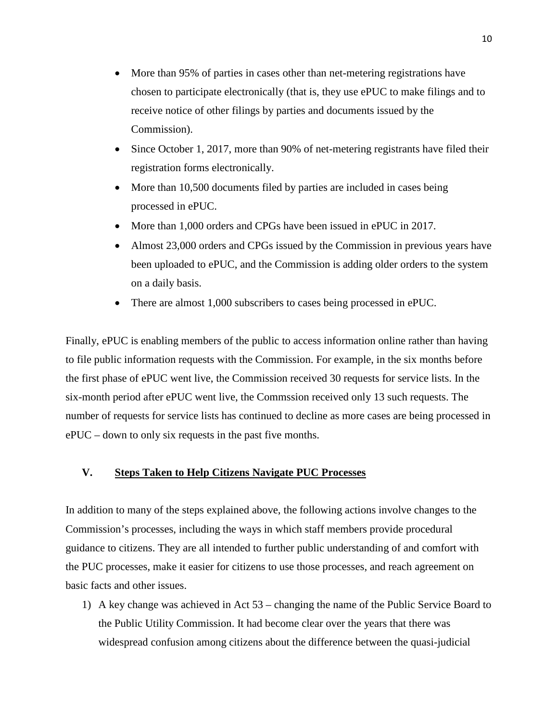- More than 95% of parties in cases other than net-metering registrations have chosen to participate electronically (that is, they use ePUC to make filings and to receive notice of other filings by parties and documents issued by the Commission).
- Since October 1, 2017, more than 90% of net-metering registrants have filed their registration forms electronically.
- More than 10,500 documents filed by parties are included in cases being processed in ePUC.
- More than 1,000 orders and CPGs have been issued in ePUC in 2017.
- Almost 23,000 orders and CPGs issued by the Commission in previous years have been uploaded to ePUC, and the Commission is adding older orders to the system on a daily basis.
- There are almost 1,000 subscribers to cases being processed in ePUC.

Finally, ePUC is enabling members of the public to access information online rather than having to file public information requests with the Commission. For example, in the six months before the first phase of ePUC went live, the Commission received 30 requests for service lists. In the six-month period after ePUC went live, the Commssion received only 13 such requests. The number of requests for service lists has continued to decline as more cases are being processed in ePUC – down to only six requests in the past five months.

### **V. Steps Taken to Help Citizens Navigate PUC Processes**

In addition to many of the steps explained above, the following actions involve changes to the Commission's processes, including the ways in which staff members provide procedural guidance to citizens. They are all intended to further public understanding of and comfort with the PUC processes, make it easier for citizens to use those processes, and reach agreement on basic facts and other issues.

1) A key change was achieved in Act 53 – changing the name of the Public Service Board to the Public Utility Commission. It had become clear over the years that there was widespread confusion among citizens about the difference between the quasi-judicial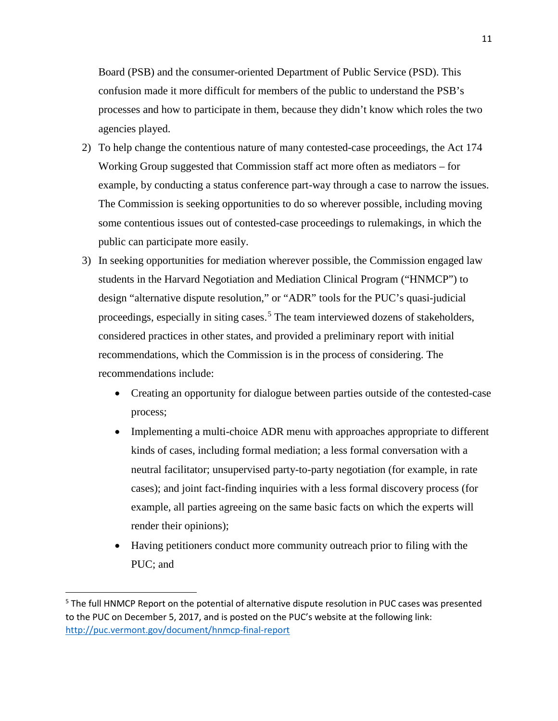Board (PSB) and the consumer-oriented Department of Public Service (PSD). This confusion made it more difficult for members of the public to understand the PSB's processes and how to participate in them, because they didn't know which roles the two agencies played.

- 2) To help change the contentious nature of many contested-case proceedings, the Act 174 Working Group suggested that Commission staff act more often as mediators – for example, by conducting a status conference part-way through a case to narrow the issues. The Commission is seeking opportunities to do so wherever possible, including moving some contentious issues out of contested-case proceedings to rulemakings, in which the public can participate more easily.
- 3) In seeking opportunities for mediation wherever possible, the Commission engaged law students in the Harvard Negotiation and Mediation Clinical Program ("HNMCP") to design "alternative dispute resolution," or "ADR" tools for the PUC's quasi-judicial proceedings, especially in siting cases.<sup>[5](#page-11-0)</sup> The team interviewed dozens of stakeholders, considered practices in other states, and provided a preliminary report with initial recommendations, which the Commission is in the process of considering. The recommendations include:
	- Creating an opportunity for dialogue between parties outside of the contested-case process;
	- Implementing a multi-choice ADR menu with approaches appropriate to different kinds of cases, including formal mediation; a less formal conversation with a neutral facilitator; unsupervised party-to-party negotiation (for example, in rate cases); and joint fact-finding inquiries with a less formal discovery process (for example, all parties agreeing on the same basic facts on which the experts will render their opinions);
	- Having petitioners conduct more community outreach prior to filing with the PUC; and

<span id="page-11-0"></span><sup>&</sup>lt;sup>5</sup> The full HNMCP Report on the potential of alternative dispute resolution in PUC cases was presented to the PUC on December 5, 2017, and is posted on the PUC's website at the following link: <http://puc.vermont.gov/document/hnmcp-final-report>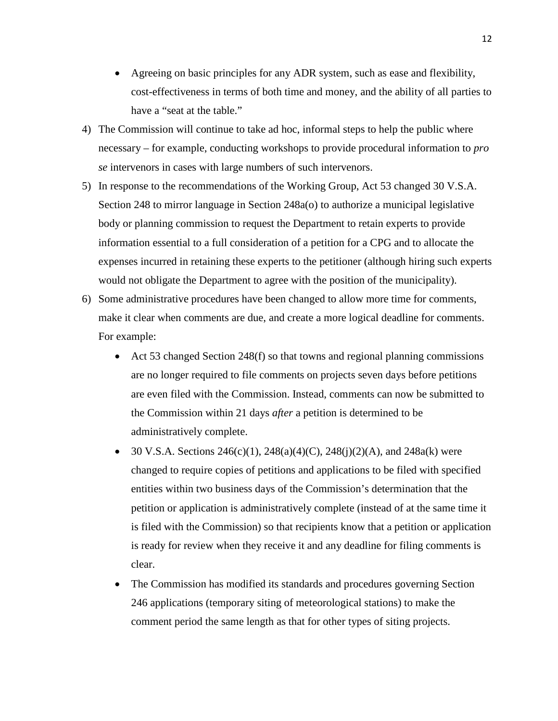- Agreeing on basic principles for any ADR system, such as ease and flexibility, cost-effectiveness in terms of both time and money, and the ability of all parties to have a "seat at the table."
- 4) The Commission will continue to take ad hoc, informal steps to help the public where necessary – for example, conducting workshops to provide procedural information to *pro se* intervenors in cases with large numbers of such intervenors.
- 5) In response to the recommendations of the Working Group, Act 53 changed 30 V.S.A. Section 248 to mirror language in Section 248a(o) to authorize a municipal legislative body or planning commission to request the Department to retain experts to provide information essential to a full consideration of a petition for a CPG and to allocate the expenses incurred in retaining these experts to the petitioner (although hiring such experts would not obligate the Department to agree with the position of the municipality).
- 6) Some administrative procedures have been changed to allow more time for comments, make it clear when comments are due, and create a more logical deadline for comments. For example:
	- Act 53 changed Section 248(f) so that towns and regional planning commissions are no longer required to file comments on projects seven days before petitions are even filed with the Commission. Instead, comments can now be submitted to the Commission within 21 days *after* a petition is determined to be administratively complete.
	- 30 V.S.A. Sections  $246(c)(1)$ ,  $248(a)(4)(C)$ ,  $248(i)(2)(A)$ , and  $248a(k)$  were changed to require copies of petitions and applications to be filed with specified entities within two business days of the Commission's determination that the petition or application is administratively complete (instead of at the same time it is filed with the Commission) so that recipients know that a petition or application is ready for review when they receive it and any deadline for filing comments is clear.
	- The Commission has modified its standards and procedures governing Section 246 applications (temporary siting of meteorological stations) to make the comment period the same length as that for other types of siting projects.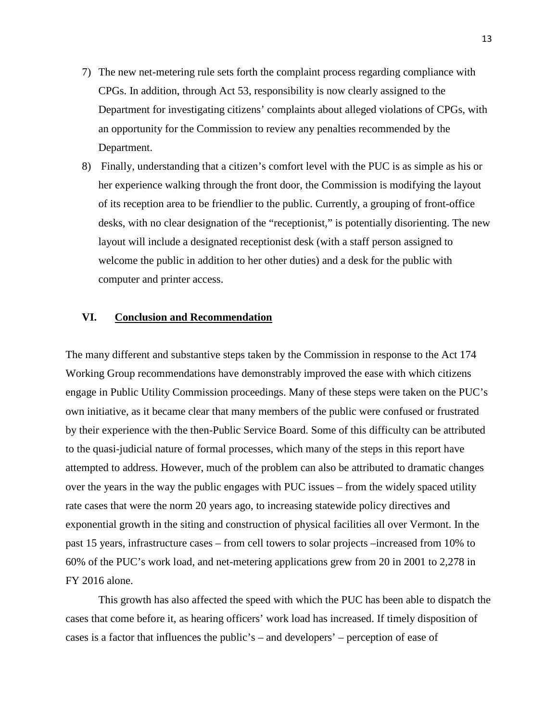- 7) The new net-metering rule sets forth the complaint process regarding compliance with CPGs. In addition, through Act 53, responsibility is now clearly assigned to the Department for investigating citizens' complaints about alleged violations of CPGs, with an opportunity for the Commission to review any penalties recommended by the Department.
- 8) Finally, understanding that a citizen's comfort level with the PUC is as simple as his or her experience walking through the front door, the Commission is modifying the layout of its reception area to be friendlier to the public. Currently, a grouping of front-office desks, with no clear designation of the "receptionist," is potentially disorienting. The new layout will include a designated receptionist desk (with a staff person assigned to welcome the public in addition to her other duties) and a desk for the public with computer and printer access.

#### **VI. Conclusion and Recommendation**

The many different and substantive steps taken by the Commission in response to the Act 174 Working Group recommendations have demonstrably improved the ease with which citizens engage in Public Utility Commission proceedings. Many of these steps were taken on the PUC's own initiative, as it became clear that many members of the public were confused or frustrated by their experience with the then-Public Service Board. Some of this difficulty can be attributed to the quasi-judicial nature of formal processes, which many of the steps in this report have attempted to address. However, much of the problem can also be attributed to dramatic changes over the years in the way the public engages with PUC issues – from the widely spaced utility rate cases that were the norm 20 years ago, to increasing statewide policy directives and exponential growth in the siting and construction of physical facilities all over Vermont. In the past 15 years, infrastructure cases – from cell towers to solar projects –increased from 10% to 60% of the PUC's work load, and net-metering applications grew from 20 in 2001 to 2,278 in FY 2016 alone.

This growth has also affected the speed with which the PUC has been able to dispatch the cases that come before it, as hearing officers' work load has increased. If timely disposition of cases is a factor that influences the public's – and developers' – perception of ease of